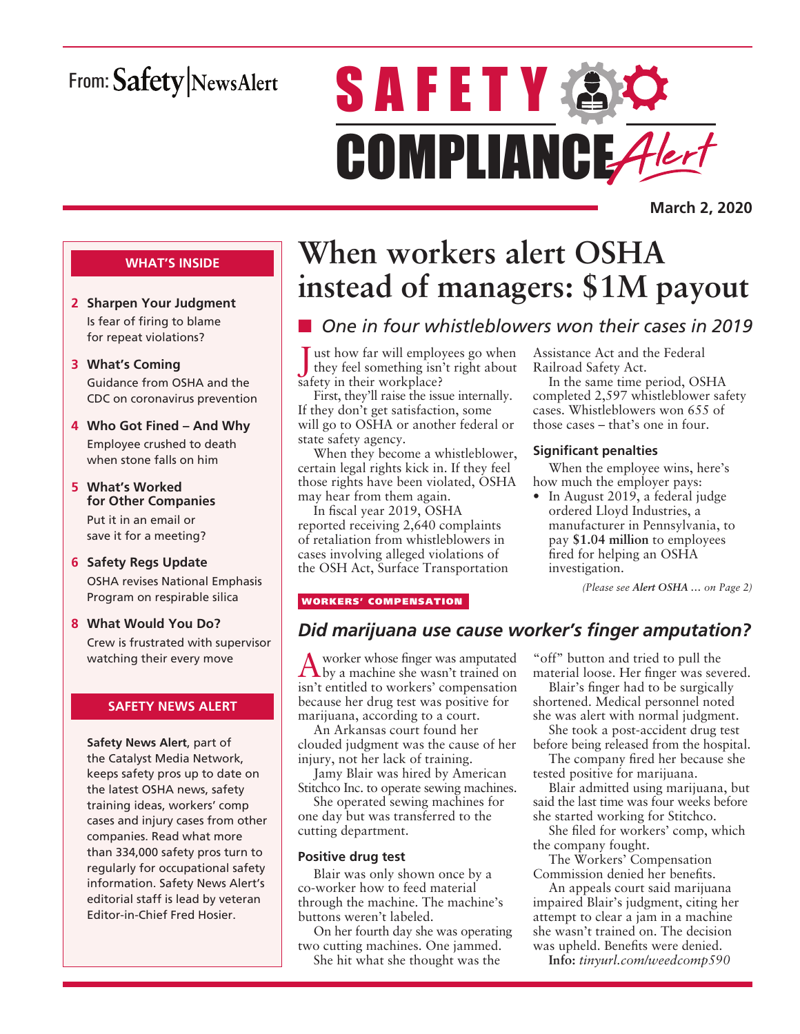## From: Safety NewsAlert

# **SAFETY AC** COMPLIANCE Alert

**March 2, 2020**

### **WHAT'S INSIDE**

- **2 Sharpen Your Judgment** Is fear of firing to blame for repeat violations?
- **3 What's Coming** Guidance from OSHA and the CDC on coronavirus prevention
- **4 Who Got Fined And Why** Employee crushed to death when stone falls on him
- **5 What's Worked for Other Companies** Put it in an email or save it for a meeting?
- **6 Safety Regs Update** OSHA revises National Emphasis Program on respirable silica
- **8 What Would You Do?** Crew is frustrated with supervisor watching their every move

### **SAFETY NEWS ALERT**

**Safety News Alert**, part of the Catalyst Media Network, keeps safety pros up to date on the latest OSHA news, safety training ideas, workers' comp cases and injury cases from other companies. Read what more than 334,000 safety pros turn to regularly for occupational safety information. Safety News Alert's editorial staff is lead by veteran Editor-in-Chief Fred Hosier.

## **When workers alert OSHA instead of managers: \$1M payout**

## ■ One in four whistleblowers won their cases in 2019

 $\blacksquare$  ust how far will employees go when they feel something isn't right about safety in their workplace?

First, they'll raise the issue internally. If they don't get satisfaction, some will go to OSHA or another federal or state safety agency.

When they become a whistleblower, certain legal rights kick in. If they feel those rights have been violated, OSHA may hear from them again.

In fiscal year 2019, OSHA reported receiving 2,640 complaints of retaliation from whistleblowers in cases involving alleged violations of the OSH Act, Surface Transportation Assistance Act and the Federal Railroad Safety Act.

In the same time period, OSHA completed 2,597 whistleblower safety cases. Whistleblowers won 655 of those cases – that's one in four.

### **Significant penalties**

When the employee wins, here's how much the employer pays:

• In August 2019, a federal judge ordered Lloyd Industries, a manufacturer in Pennsylvania, to pay **\$1.04 million** to employees fired for helping an OSHA investigation.

*(Please see Alert OSHA … on Page 2)*

### WORKERS' COMPENSATION

### *Did marijuana use cause worker's finger amputation?*

A worker whose finger was amputated by a machine she wasn't trained on isn't entitled to workers' compensation because her drug test was positive for marijuana, according to a court.

An Arkansas court found her clouded judgment was the cause of her injury, not her lack of training.

Jamy Blair was hired by American Stitchco Inc. to operate sewing machines.

She operated sewing machines for one day but was transferred to the cutting department.

### **Positive drug test**

Blair was only shown once by a co-worker how to feed material through the machine. The machine's buttons weren't labeled.

On her fourth day she was operating two cutting machines. One jammed. She hit what she thought was the

"off" button and tried to pull the material loose. Her finger was severed.

Blair's finger had to be surgically shortened. Medical personnel noted she was alert with normal judgment.

She took a post-accident drug test before being released from the hospital.

The company fired her because she tested positive for marijuana.

Blair admitted using marijuana, but said the last time was four weeks before she started working for Stitchco.

She filed for workers' comp, which the company fought.

The Workers' Compensation Commission denied her benefits.

An appeals court said marijuana impaired Blair's judgment, citing her attempt to clear a jam in a machine she wasn't trained on. The decision was upheld. Benefits were denied.

**Info:** *tinyurl.com/weedcomp590*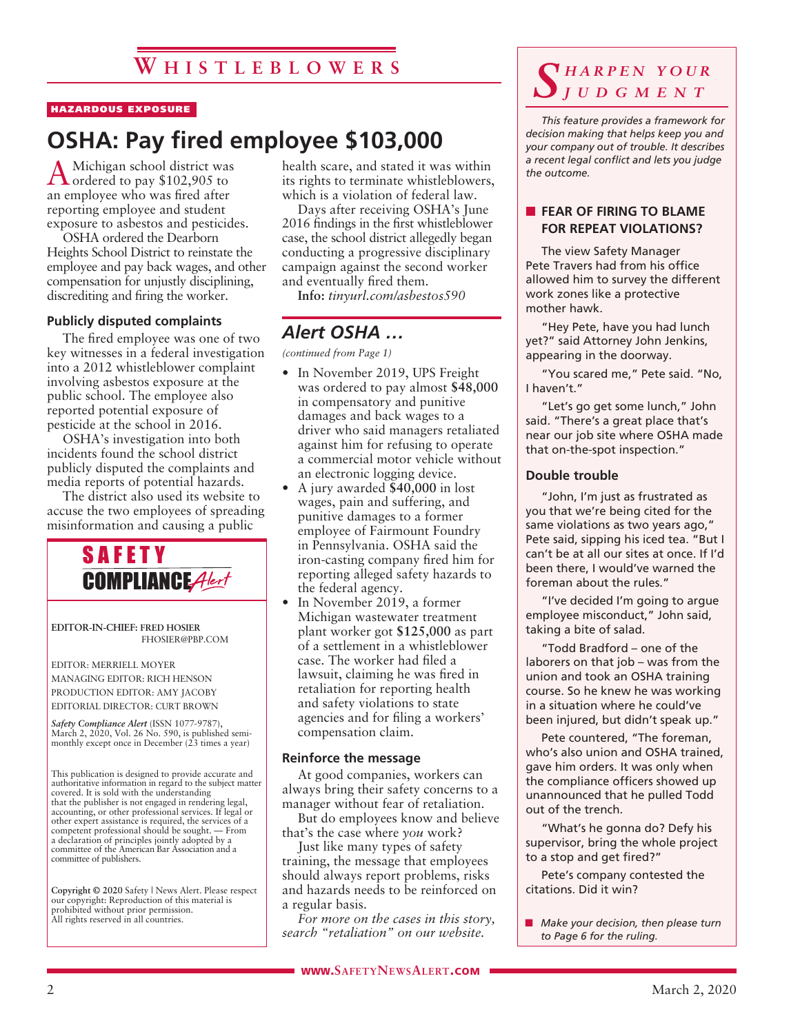### HAZARDOUS EXPOSURE

## **OSHA: Pay fired employee \$103,000**

AMichigan school district was ordered to pay \$102,905 to an employee who was fired after reporting employee and student exposure to asbestos and pesticides.

OSHA ordered the Dearborn Heights School District to reinstate the employee and pay back wages, and other compensation for unjustly disciplining, discrediting and firing the worker.

### **Publicly disputed complaints**

The fired employee was one of two key witnesses in a federal investigation into a 2012 whistleblower complaint involving asbestos exposure at the public school. The employee also reported potential exposure of pesticide at the school in 2016.

OSHA's investigation into both incidents found the school district publicly disputed the complaints and media reports of potential hazards.

The district also used its website to accuse the two employees of spreading misinformation and causing a public



**EDITOR-IN-CHIEF: FRED HOSIER** FHOSIER@PBP.COM

EDITOR: MERRIELL MOYER MANAGING EDITOR: RICH HENSON PRODUCTION EDITOR: AMY JACOBY EDITORIAL DIRECTOR: CURT BROWN

*Safety Compliance Alert* (ISSN 1077-9787), March 2, 2020, Vol. 26 No. 590, is published semimonthly except once in December (23 times a year)

This publication is designed to provide accurate and authoritative information in regard to the subject matter covered. It is sold with the understanding that the publisher is not engaged in rendering legal, accounting, or other professional services. If legal or other expert assistance is required, the services of a competent professional should be sought. — From a declaration of principles jointly adopted by a committee of the American Bar Association and a committee of publishers.

**Copyright © 2020** Safety | News Alert. Please respect our copyright: Reproduction of this material is prohibited without prior permission. All rights reserved in all countries.

health scare, and stated it was within its rights to terminate whistleblowers, which is a violation of federal law.

Days after receiving OSHA's June 2016 findings in the first whistleblower case, the school district allegedly began conducting a progressive disciplinary campaign against the second worker and eventually fired them.

**Info:** *tinyurl.com/asbestos590*

### *Alert OSHA …*

*(continued from Page 1)*

- In November 2019, UPS Freight was ordered to pay almost **\$48,000** in compensatory and punitive damages and back wages to a driver who said managers retaliated against him for refusing to operate a commercial motor vehicle without an electronic logging device.
- A jury awarded **\$40,000** in lost wages, pain and suffering, and punitive damages to a former employee of Fairmount Foundry in Pennsylvania. OSHA said the iron-casting company fired him for reporting alleged safety hazards to the federal agency.
- In November 2019, a former Michigan wastewater treatment plant worker got **\$125,000** as part of a settlement in a whistleblower case. The worker had filed a lawsuit, claiming he was fired in retaliation for reporting health and safety violations to state agencies and for filing a workers' compensation claim.

#### **Reinforce the message**

At good companies, workers can always bring their safety concerns to a manager without fear of retaliation.

But do employees know and believe that's the case where *you* work?

Just like many types of safety training, the message that employees should always report problems, risks and hazards needs to be reinforced on a regular basis.

*For more on the cases in this story, search "retaliation" on our website.*

### *S h a r p e n y o u r j u d g m e n t*

*This feature provides a framework for decision making that helps keep you and your company out of trouble. It describes a recent legal conflict and lets you judge the outcome.*

### **FEAR OF FIRING TO BLAME FOR REPEAT VIOLATIONS?**

The view Safety Manager Pete Travers had from his office allowed him to survey the different work zones like a protective mother hawk.

"Hey Pete, have you had lunch yet?" said Attorney John Jenkins, appearing in the doorway.

"You scared me," Pete said. "No, I haven't."

"Let's go get some lunch," John said. "There's a great place that's near our job site where OSHA made that on-the-spot inspection."

### **Double trouble**

"John, I'm just as frustrated as you that we're being cited for the same violations as two years ago," Pete said, sipping his iced tea. "But I can't be at all our sites at once. If I'd been there, I would've warned the foreman about the rules."

"I've decided I'm going to argue employee misconduct," John said, taking a bite of salad.

"Todd Bradford – one of the laborers on that job – was from the union and took an OSHA training course. So he knew he was working in a situation where he could've been injured, but didn't speak up."

Pete countered, "The foreman, who's also union and OSHA trained, gave him orders. It was only when the compliance officers showed up unannounced that he pulled Todd out of the trench.

"What's he gonna do? Defy his supervisor, bring the whole project to a stop and get fired?"

Pete's company contested the citations. Did it win?

**n** *Make your decision, then please turn to Page 6 for the ruling.*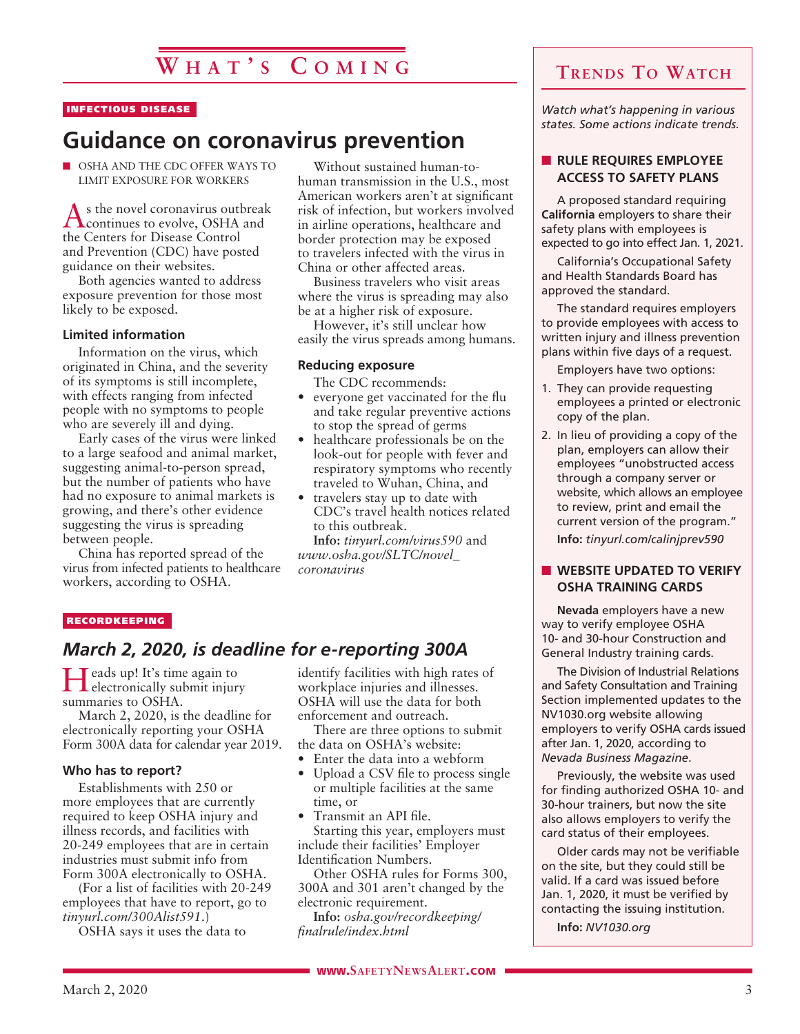### INFECTIOUS DISEASE

## **Guidance on coronavirus prevention**

**NOSHA AND THE CDC OFFER WAYS TO** LIMIT EXPOSURE FOR WORKERS

As the novel coronavirus outbreak continues to evolve, OSHA and the Centers for Disease Control and Prevention (CDC) have posted guidance on their websites.

Both agencies wanted to address exposure prevention for those most likely to be exposed.

### **Limited information**

Information on the virus, which originated in China, and the severity of its symptoms is still incomplete, with effects ranging from infected people with no symptoms to people who are severely ill and dying.

Early cases of the virus were linked to a large seafood and animal market, suggesting animal-to-person spread, but the number of patients who have had no exposure to animal markets is growing, and there's other evidence suggesting the virus is spreading between people.

China has reported spread of the virus from infected patients to healthcare workers, according to OSHA.

Without sustained human-tohuman transmission in the U.S., most American workers aren't at significant risk of infection, but workers involved in airline operations, healthcare and border protection may be exposed to travelers infected with the virus in China or other affected areas.

Business travelers who visit areas where the virus is spreading may also be at a higher risk of exposure.

However, it's still unclear how easily the virus spreads among humans.

### **Reducing exposure**

The CDC recommends:

- everyone get vaccinated for the flu and take regular preventive actions to stop the spread of germs
- healthcare professionals be on the look-out for people with fever and respiratory symptoms who recently traveled to Wuhan, China, and
- travelers stay up to date with CDC's travel health notices related to this outbreak.

**Info:** *tinyurl.com/virus590* and *www.osha.gov/SLTC/novel\_ coronavirus*

#### RECORDKEEPING

### *March 2, 2020, is deadline for e-reporting 300A*

Heads up! It's time again to **L** electronically submit injury summaries to OSHA.

March 2, 2020, is the deadline for electronically reporting your OSHA Form 300A data for calendar year 2019.

### **Who has to report?**

Establishments with 250 or more employees that are currently required to keep OSHA injury and illness records, and facilities with 20-249 employees that are in certain industries must submit info from Form 300A electronically to OSHA.

(For a list of facilities with 20-249 employees that have to report, go to *tinyurl.com/300Alist591*.)

OSHA says it uses the data to

identify facilities with high rates of workplace injuries and illnesses. OSHA will use the data for both enforcement and outreach.

There are three options to submit the data on OSHA's website:

- Enter the data into a webform
- Upload a CSV file to process single or multiple facilities at the same time, or

• Transmit an API file. Starting this year, employers must include their facilities' Employer Identification Numbers.

Other OSHA rules for Forms 300, 300A and 301 aren't changed by the electronic requirement.

**Info:** *osha.gov/recordkeeping/ finalrule/index.html*

*Watch what's happening in various states. Some actions indicate trends.*

### **N** RULE REQUIRES EMPLOYEE **ACCESS TO SAFETY PLANS**

A proposed standard requiring **California** employers to share their safety plans with employees is expected to go into effect Jan. 1, 2021.

California's Occupational Safety and Health Standards Board has approved the standard.

The standard requires employers to provide employees with access to written injury and illness prevention plans within five days of a request.

Employers have two options:

- 1. They can provide requesting employees a printed or electronic copy of the plan.
- 2. In lieu of providing a copy of the plan, employers can allow their employees "unobstructed access through a company server or website, which allows an employee to review, print and email the current version of the program." **Info:** *tinyurl.com/calinjprev590*

### **N WEBSITE UPDATED TO VERIFY OSHA TRAINING CARDS**

**Nevada** employers have a new way to verify employee OSHA 10- and 30-hour Construction and General Industry training cards.

The Division of Industrial Relations and Safety Consultation and Training Section implemented updates to the NV1030.org website allowing employers to verify OSHA cards issued after Jan. 1, 2020, according to *Nevada Business Magazine*.

Previously, the website was used for finding authorized OSHA 10- and 30-hour trainers, but now the site also allows employers to verify the card status of their employees.

Older cards may not be verifiable on the site, but they could still be valid. If a card was issued before Jan. 1, 2020, it must be verified by contacting the issuing institution.

**Info:** *NV1030.org*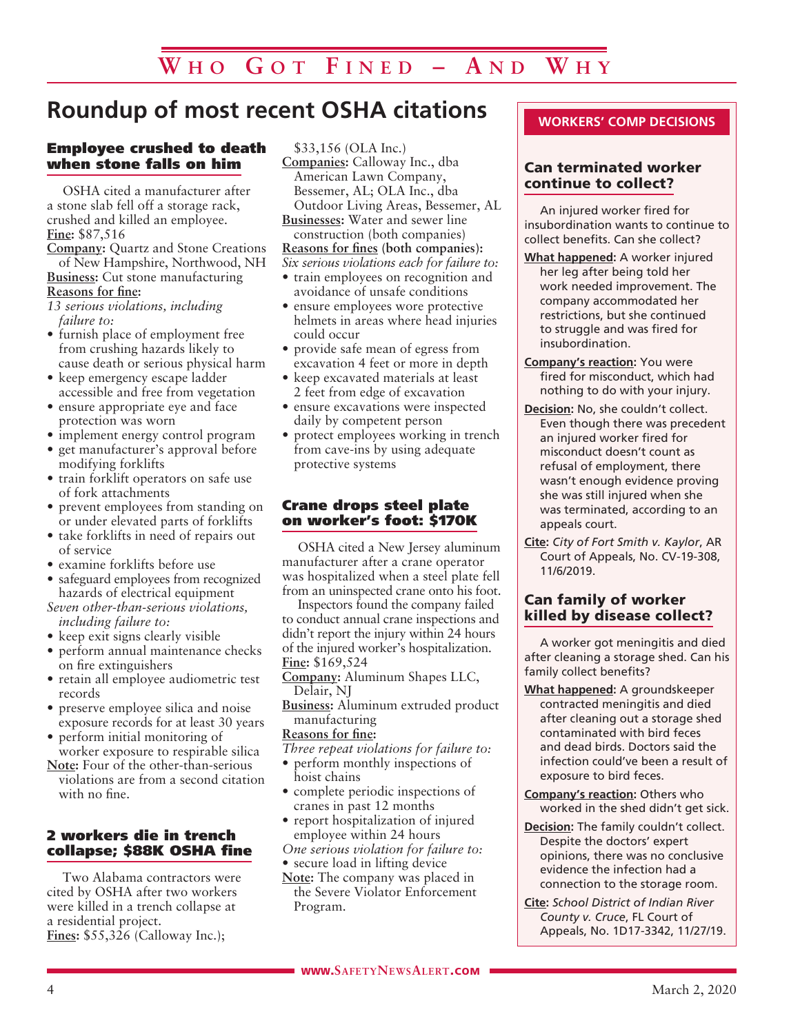## **Roundup of most recent OSHA citations**

### Employee crushed to death when stone falls on him

OSHA cited a manufacturer after a stone slab fell off a storage rack, crushed and killed an employee. **Fine:** \$87,516

**Company:** Quartz and Stone Creations of New Hampshire, Northwood, NH **Business:** Cut stone manufacturing

**Reasons for fine:**

- *13 serious violations, including failure to:*
- furnish place of employment free from crushing hazards likely to cause death or serious physical harm
- keep emergency escape ladder accessible and free from vegetation
- ensure appropriate eye and face protection was worn
- implement energy control program
- get manufacturer's approval before modifying forklifts
- train forklift operators on safe use of fork attachments
- prevent employees from standing on or under elevated parts of forklifts
- take forklifts in need of repairs out of service
- examine forklifts before use
- safeguard employees from recognized hazards of electrical equipment

*Seven other-than-serious violations, including failure to:*

- keep exit signs clearly visible
- perform annual maintenance checks on fire extinguishers
- retain all employee audiometric test records
- preserve employee silica and noise exposure records for at least 30 years
- perform initial monitoring of worker exposure to respirable silica
- **Note:** Four of the other-than-serious violations are from a second citation with no fine.

### 2 workers die in trench collapse; \$88K OSHA fine

Two Alabama contractors were cited by OSHA after two workers were killed in a trench collapse at a residential project. **Fines:** \$55,326 (Calloway Inc.);

\$33,156 (OLA Inc.)

**Companies:** Calloway Inc., dba American Lawn Company, Bessemer, AL; OLA Inc., dba Outdoor Living Areas, Bessemer, AL

**Businesses:** Water and sewer line construction (both companies)

### **Reasons for fines (both companies):**

*Six serious violations each for failure to:*

- train employees on recognition and avoidance of unsafe conditions
- ensure employees wore protective helmets in areas where head injuries could occur
- provide safe mean of egress from excavation 4 feet or more in depth
- keep excavated materials at least 2 feet from edge of excavation
- ensure excavations were inspected daily by competent person
- protect employees working in trench from cave-ins by using adequate protective systems

### Crane drops steel plate on worker's foot: \$170K

OSHA cited a New Jersey aluminum manufacturer after a crane operator was hospitalized when a steel plate fell from an uninspected crane onto his foot.

Inspectors found the company failed to conduct annual crane inspections and didn't report the injury within 24 hours of the injured worker's hospitalization. **Fine:** \$169,524

**Company:** Aluminum Shapes LLC, Delair, NJ

**Business:** Aluminum extruded product manufacturing

### **Reasons for fine:**

- *Three repeat violations for failure to:*
- perform monthly inspections of hoist chains
- complete periodic inspections of cranes in past 12 months
- report hospitalization of injured employee within 24 hours

*One serious violation for failure to:* • secure load in lifting device

- **Note:** The company was placed in
- the Severe Violator Enforcement Program.

### **WORKERS' COMP DECISIONS**

### Can terminated worker continue to collect?

An injured worker fired for insubordination wants to continue to collect benefits. Can she collect?

- **What happened:** A worker injured her leg after being told her work needed improvement. The company accommodated her restrictions, but she continued to struggle and was fired for insubordination.
- **Company's reaction:** You were fired for misconduct, which had nothing to do with your injury.
- **Decision:** No, she couldn't collect. Even though there was precedent an injured worker fired for misconduct doesn't count as refusal of employment, there wasn't enough evidence proving she was still injured when she was terminated, according to an appeals court.
- **Cite:** *City of Fort Smith v. Kaylor*, AR Court of Appeals, No. CV-19-308, 11/6/2019.

### Can family of worker killed by disease collect?

A worker got meningitis and died after cleaning a storage shed. Can his family collect benefits?

- **What happened:** A groundskeeper contracted meningitis and died after cleaning out a storage shed contaminated with bird feces and dead birds. Doctors said the infection could've been a result of exposure to bird feces.
- **Company's reaction:** Others who worked in the shed didn't get sick.
- **Decision:** The family couldn't collect. Despite the doctors' expert opinions, there was no conclusive evidence the infection had a connection to the storage room.
- **Cite:** *School District of Indian River County v. Cruce*, FL Court of Appeals, No. 1D17-3342, 11/27/19.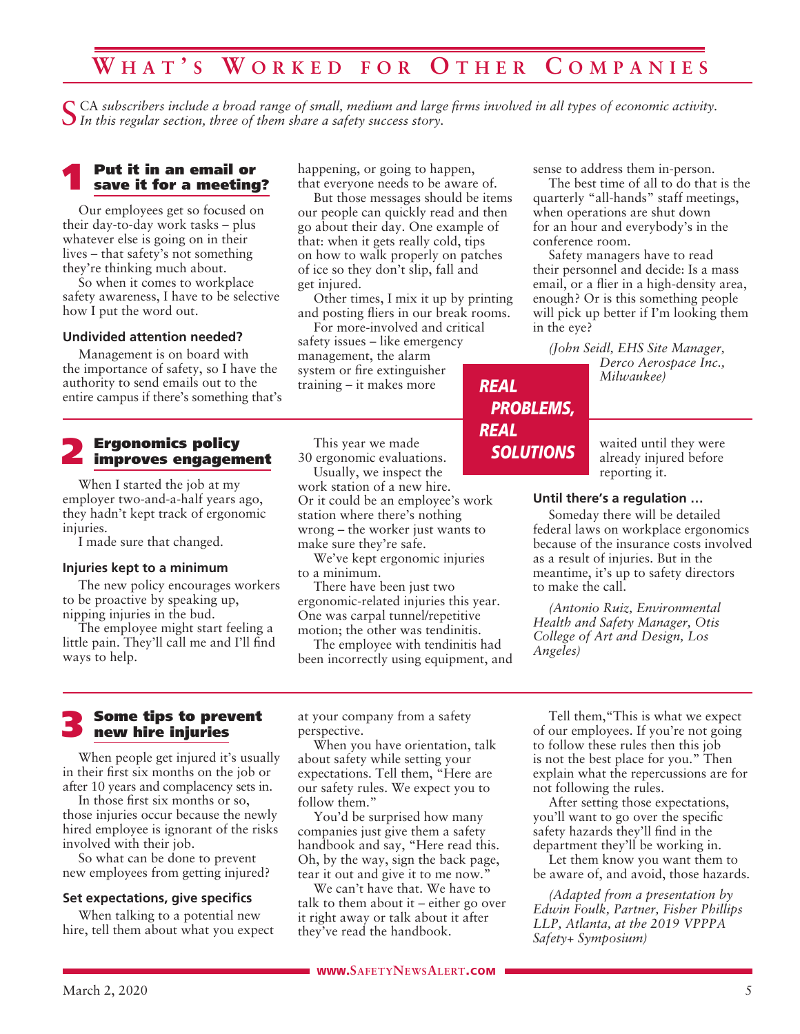## **W h a t ' s W o r k e d f o r O t h e r C o m p a n i e s**

CA subscribers include a broad range of small, medium and large firms involved in all types of economic activity. *In this regular section, three of them share a safety success story.*

## **1** Put it in an email or save it for a meeting?

Our employees get so focused on their day-to-day work tasks – plus whatever else is going on in their lives – that safety's not something they're thinking much about.

So when it comes to workplace safety awareness, I have to be selective how I put the word out.

### **Undivided attention needed?**

Management is on board with the importance of safety, so I have the authority to send emails out to the entire campus if there's something that's

## 2 Ergonomics policy improves engagement

When I started the job at my employer two-and-a-half years ago, they hadn't kept track of ergonomic injuries.

I made sure that changed.

### **Injuries kept to a minimum**

The new policy encourages workers to be proactive by speaking up, nipping injuries in the bud.

The employee might start feeling a little pain. They'll call me and I'll find ways to help.

happening, or going to happen, that everyone needs to be aware of.

But those messages should be items our people can quickly read and then go about their day. One example of that: when it gets really cold, tips on how to walk properly on patches of ice so they don't slip, fall and get injured.

Other times, I mix it up by printing and posting fliers in our break rooms.

*REAL*

*REAL*

*PROBLEMS,*

*SOLUTIONS*

For more-involved and critical safety issues – like emergency management, the alarm system or fire extinguisher training – it makes more

This year we made 30 ergonomic evaluations. Usually, we inspect the

work station of a new hire. Or it could be an employee's work station where there's nothing wrong – the worker just wants to make sure they're safe.

We've kept ergonomic injuries to a minimum.

There have been just two ergonomic-related injuries this year. One was carpal tunnel/repetitive motion; the other was tendinitis.

The employee with tendinitis had been incorrectly using equipment, and sense to address them in-person.

The best time of all to do that is the quarterly "all-hands" staff meetings, when operations are shut down for an hour and everybody's in the conference room.

Safety managers have to read their personnel and decide: Is a mass email, or a flier in a high-density area, enough? Or is this something people will pick up better if I'm looking them in the eye?

*(John Seidl, EHS Site Manager,* 

*Derco Aerospace Inc., Milwaukee)*

waited until they were already injured before reporting it.

### **Until there's a regulation …**

Someday there will be detailed federal laws on workplace ergonomics because of the insurance costs involved as a result of injuries. But in the meantime, it's up to safety directors to make the call.

*(Antonio Ruiz, Environmental Health and Safety Manager, Otis College of Art and Design, Los Angeles)*

### 3 Some tips to prevent new hire injuries

When people get injured it's usually in their first six months on the job or after 10 years and complacency sets in.

In those first six months or so, those injuries occur because the newly hired employee is ignorant of the risks involved with their job.

So what can be done to prevent new employees from getting injured?

### **Set expectations, give specifics**

When talking to a potential new hire, tell them about what you expect at your company from a safety perspective.

When you have orientation, talk about safety while setting your expectations. Tell them, "Here are our safety rules. We expect you to follow them."

You'd be surprised how many companies just give them a safety handbook and say, "Here read this. Oh, by the way, sign the back page, tear it out and give it to me now.'

We can't have that. We have to talk to them about it – either go over it right away or talk about it after they've read the handbook.

Tell them,"This is what we expect of our employees. If you're not going to follow these rules then this job is not the best place for you." Then explain what the repercussions are for not following the rules.

After setting those expectations, you'll want to go over the specific safety hazards they'll find in the department they'll be working in.

Let them know you want them to be aware of, and avoid, those hazards.

*(Adapted from a presentation by Edwin Foulk, Partner, Fisher Phillips LLP, Atlanta, at the 2019 VPPPA Safety+ Symposium)*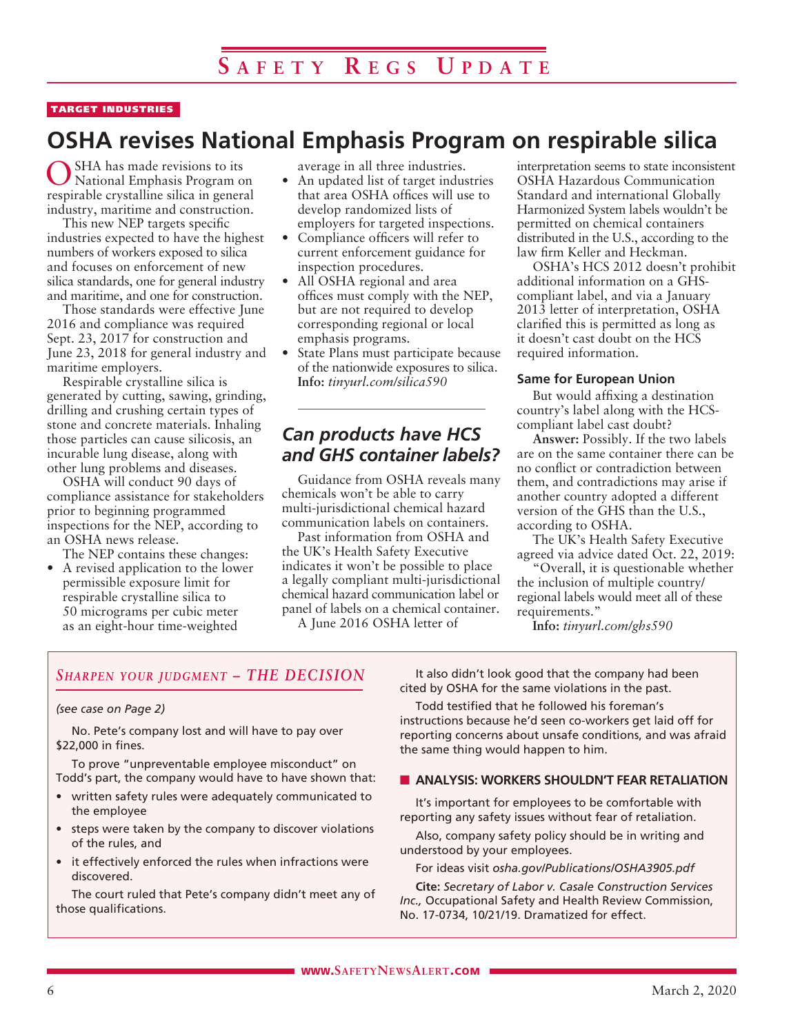### TARGET INDUSTRIES

## **OSHA revises National Emphasis Program on respirable silica**

OSHA has made revisions to its National Emphasis Program on respirable crystalline silica in general industry, maritime and construction.

This new NEP targets specific industries expected to have the highest numbers of workers exposed to silica and focuses on enforcement of new silica standards, one for general industry and maritime, and one for construction.

Those standards were effective June 2016 and compliance was required Sept. 23, 2017 for construction and June 23, 2018 for general industry and maritime employers.

Respirable crystalline silica is generated by cutting, sawing, grinding, drilling and crushing certain types of stone and concrete materials. Inhaling those particles can cause silicosis, an incurable lung disease, along with other lung problems and diseases.

OSHA will conduct 90 days of compliance assistance for stakeholders prior to beginning programmed inspections for the NEP, according to an OSHA news release.

The NEP contains these changes:

• A revised application to the lower permissible exposure limit for respirable crystalline silica to 50 micrograms per cubic meter as an eight-hour time-weighted

average in all three industries.

- An updated list of target industries that area OSHA offices will use to develop randomized lists of employers for targeted inspections.
- Compliance officers will refer to current enforcement guidance for inspection procedures.
- All OSHA regional and area offices must comply with the NEP, but are not required to develop corresponding regional or local emphasis programs.
- State Plans must participate because of the nationwide exposures to silica. **Info:** *tinyurl.com/silica590*

### *Can products have HCS and GHS container labels?*

Guidance from OSHA reveals many chemicals won't be able to carry multi-jurisdictional chemical hazard communication labels on containers.

Past information from OSHA and the UK's Health Safety Executive indicates it won't be possible to place a legally compliant multi-jurisdictional chemical hazard communication label or panel of labels on a chemical container.

A June 2016 OSHA letter of

interpretation seems to state inconsistent OSHA Hazardous Communication Standard and international Globally Harmonized System labels wouldn't be permitted on chemical containers distributed in the U.S., according to the law firm Keller and Heckman.

OSHA's HCS 2012 doesn't prohibit additional information on a GHScompliant label, and via a January 2013 letter of interpretation, OSHA clarified this is permitted as long as it doesn't cast doubt on the HCS required information.

### **Same for European Union**

But would affixing a destination country's label along with the HCScompliant label cast doubt?

**Answer:** Possibly. If the two labels are on the same container there can be no conflict or contradiction between them, and contradictions may arise if another country adopted a different version of the GHS than the U.S., according to OSHA.

The UK's Health Safety Executive agreed via advice dated Oct. 22, 2019:

"Overall, it is questionable whether the inclusion of multiple country/ regional labels would meet all of these requirements."

**Info:** *tinyurl.com/ghs590*

### *Sharpen your judgment – THE DECISION*

### *(see case on Page 2)*

No. Pete's company lost and will have to pay over \$22,000 in fines.

To prove "unpreventable employee misconduct" on Todd's part, the company would have to have shown that:

- written safety rules were adequately communicated to the employee
- steps were taken by the company to discover violations of the rules, and
- it effectively enforced the rules when infractions were discovered.

The court ruled that Pete's company didn't meet any of those qualifications.

It also didn't look good that the company had been cited by OSHA for the same violations in the past.

Todd testified that he followed his foreman's instructions because he'd seen co-workers get laid off for reporting concerns about unsafe conditions, and was afraid the same thing would happen to him.

### **N** ANALYSIS: WORKERS SHOULDN'T FEAR RETALIATION

It's important for employees to be comfortable with reporting any safety issues without fear of retaliation.

Also, company safety policy should be in writing and understood by your employees.

For ideas visit *osha.gov/Publications/OSHA3905.pdf*

**Cite:** *Secretary of Labor v. Casale Construction Services Inc.,* Occupational Safety and Health Review Commission, No. 17-0734, 10/21/19. Dramatized for effect.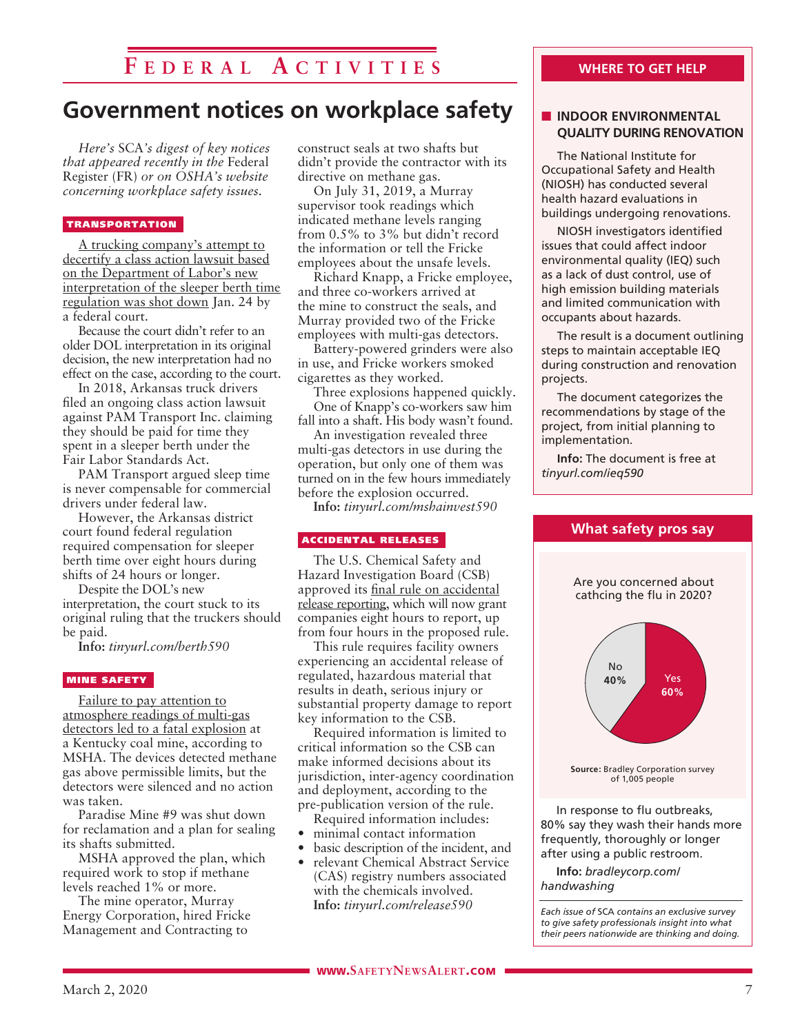## **F e d e r a l A c t i v i t i e s**

## **Government notices on workplace safety**

*Here's* SCA*'s digest of key notices that appeared recently in the* Federal Register (FR) *or on OSHA's website concerning workplace safety issues.* 

### TRANSPORTATION

A trucking company's attempt to decertify a class action lawsuit based on the Department of Labor's new interpretation of the sleeper berth time regulation was shot down Jan. 24 by a federal court.

Because the court didn't refer to an older DOL interpretation in its original decision, the new interpretation had no effect on the case, according to the court.

In 2018, Arkansas truck drivers filed an ongoing class action lawsuit against PAM Transport Inc. claiming they should be paid for time they spent in a sleeper berth under the Fair Labor Standards Act.

PAM Transport argued sleep time is never compensable for commercial drivers under federal law.

However, the Arkansas district court found federal regulation required compensation for sleeper berth time over eight hours during shifts of 24 hours or longer.

Despite the DOL's new interpretation, the court stuck to its original ruling that the truckers should be paid.

**Info:** *tinyurl.com/berth590*

### MINE SAFETY

Failure to pay attention to atmosphere readings of multi-gas detectors led to a fatal explosion at a Kentucky coal mine, according to MSHA. The devices detected methane gas above permissible limits, but the detectors were silenced and no action was taken.

Paradise Mine #9 was shut down for reclamation and a plan for sealing its shafts submitted.

MSHA approved the plan, which required work to stop if methane levels reached 1% or more.

The mine operator, Murray Energy Corporation, hired Fricke Management and Contracting to

construct seals at two shafts but didn't provide the contractor with its directive on methane gas.

On July 31, 2019, a Murray supervisor took readings which indicated methane levels ranging from 0.5% to 3% but didn't record the information or tell the Fricke employees about the unsafe levels.

Richard Knapp, a Fricke employee, and three co-workers arrived at the mine to construct the seals, and Murray provided two of the Fricke employees with multi-gas detectors.

Battery-powered grinders were also in use, and Fricke workers smoked cigarettes as they worked.

Three explosions happened quickly. One of Knapp's co-workers saw him fall into a shaft. His body wasn't found.

An investigation revealed three multi-gas detectors in use during the operation, but only one of them was turned on in the few hours immediately before the explosion occurred.

**Info:** *tinyurl.com/mshainvest590*

#### ACCIDENTAL RELEASES

The U.S. Chemical Safety and Hazard Investigation Board (CSB) approved its final rule on accidental release reporting, which will now grant companies eight hours to report, up from four hours in the proposed rule.

This rule requires facility owners experiencing an accidental release of regulated, hazardous material that results in death, serious injury or substantial property damage to report key information to the CSB.

Required information is limited to critical information so the CSB can make informed decisions about its jurisdiction, inter-agency coordination and deployment, according to the pre-publication version of the rule.

- Required information includes:
- minimal contact information
- basic description of the incident, and
- relevant Chemical Abstract Service (CAS) registry numbers associated with the chemicals involved. **Info:** *tinyurl.com/release590*

### **WHERE TO GET HELP**

### **N** INDOOR ENVIRONMENTAL **QUALITY DURING RENOVATION**

The National Institute for Occupational Safety and Health (NIOSH) has conducted several health hazard evaluations in buildings undergoing renovations.

NIOSH investigators identified issues that could affect indoor environmental quality (IEQ) such as a lack of dust control, use of high emission building materials and limited communication with occupants about hazards.

The result is a document outlining steps to maintain acceptable IEQ during construction and renovation projects.

The document categorizes the recommendations by stage of the project, from initial planning to implementation.

**Info:** The document is free at *tinyurl.com/ieq590*



In response to flu outbreaks, 80% say they wash their hands more frequently, thoroughly or longer after using a public restroom.

**Info:** *bradleycorp.com/ handwashing*

*Each issue of* SCA *contains an exclusive survey to give safety professionals insight into what their peers nationwide are thinking and doing.*